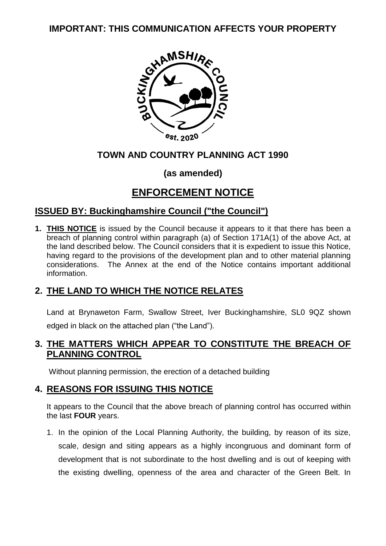

## **TOWN AND COUNTRY PLANNING ACT 1990**

## **(as amended)**

## **ENFORCEMENT NOTICE**

## **ISSUED BY: Buckinghamshire Council ("the Council")**

**1. THIS NOTICE** is issued by the Council because it appears to it that there has been a breach of planning control within paragraph (a) of Section 171A(1) of the above Act, at the land described below. The Council considers that it is expedient to issue this Notice, having regard to the provisions of the development plan and to other material planning considerations. The Annex at the end of the Notice contains important additional information.

## **2. THE LAND TO WHICH THE NOTICE RELATES**

Land at Brynaweton Farm, Swallow Street, Iver Buckinghamshire, SL0 9QZ shown edged in black on the attached plan ("the Land").

## **3. THE MATTERS WHICH APPEAR TO CONSTITUTE THE BREACH OF PLANNING CONTROL**

Without planning permission, the erection of a detached building

## **4. REASONS FOR ISSUING THIS NOTICE**

It appears to the Council that the above breach of planning control has occurred within the last **FOUR** years.

1. In the opinion of the Local Planning Authority, the building, by reason of its size, scale, design and siting appears as a highly incongruous and dominant form of development that is not subordinate to the host dwelling and is out of keeping with the existing dwelling, openness of the area and character of the Green Belt. In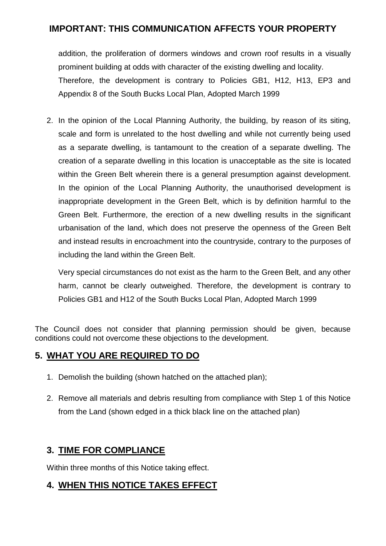addition, the proliferation of dormers windows and crown roof results in a visually prominent building at odds with character of the existing dwelling and locality. Therefore, the development is contrary to Policies GB1, H12, H13, EP3 and Appendix 8 of the South Bucks Local Plan, Adopted March 1999

2. In the opinion of the Local Planning Authority, the building, by reason of its siting, scale and form is unrelated to the host dwelling and while not currently being used as a separate dwelling, is tantamount to the creation of a separate dwelling. The creation of a separate dwelling in this location is unacceptable as the site is located within the Green Belt wherein there is a general presumption against development. In the opinion of the Local Planning Authority, the unauthorised development is inappropriate development in the Green Belt, which is by definition harmful to the Green Belt. Furthermore, the erection of a new dwelling results in the significant urbanisation of the land, which does not preserve the openness of the Green Belt and instead results in encroachment into the countryside, contrary to the purposes of including the land within the Green Belt.

Very special circumstances do not exist as the harm to the Green Belt, and any other harm, cannot be clearly outweighed. Therefore, the development is contrary to Policies GB1 and H12 of the South Bucks Local Plan, Adopted March 1999

The Council does not consider that planning permission should be given, because conditions could not overcome these objections to the development.

## **5. WHAT YOU ARE REQUIRED TO DO**

- 1. Demolish the building (shown hatched on the attached plan);
- 2. Remove all materials and debris resulting from compliance with Step 1 of this Notice from the Land (shown edged in a thick black line on the attached plan)

## **3. TIME FOR COMPLIANCE**

Within three months of this Notice taking effect.

## **4. WHEN THIS NOTICE TAKES EFFECT**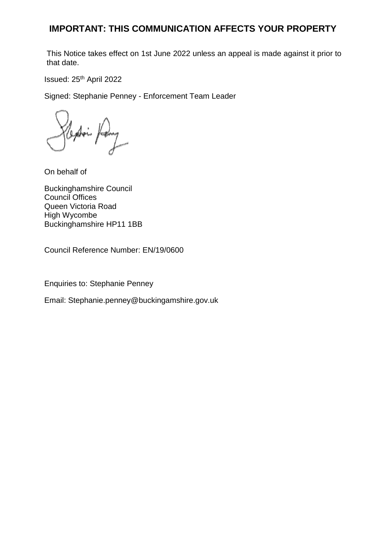This Notice takes effect on 1st June 2022 unless an appeal is made against it prior to that date.

Issued: 25th April 2022

Signed: Stephanie Penney - Enforcement Team Leader

On behalf of

Buckinghamshire Council Council Offices Queen Victoria Road High Wycombe Buckinghamshire HP11 1BB

Council Reference Number: EN/19/0600

Enquiries to: Stephanie Penney

Email: Stephanie.penney@buckingamshire.gov.uk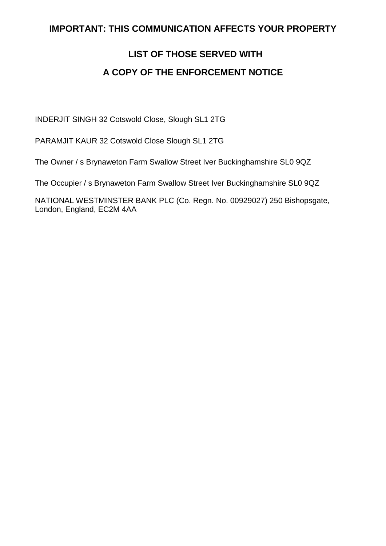## **LIST OF THOSE SERVED WITH A COPY OF THE ENFORCEMENT NOTICE**

INDERJIT SINGH 32 Cotswold Close, Slough SL1 2TG

PARAMJIT KAUR 32 Cotswold Close Slough SL1 2TG

The Owner / s Brynaweton Farm Swallow Street Iver Buckinghamshire SL0 9QZ

The Occupier / s Brynaweton Farm Swallow Street Iver Buckinghamshire SL0 9QZ

NATIONAL WESTMINSTER BANK PLC (Co. Regn. No. 00929027) 250 Bishopsgate, London, England, EC2M 4AA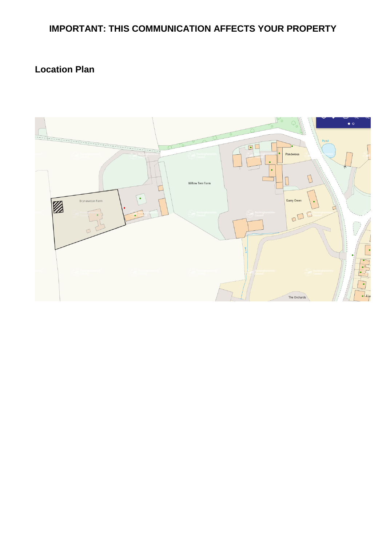## **Location Plan**

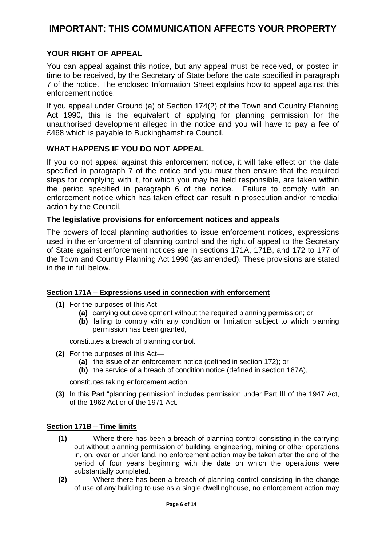#### **YOUR RIGHT OF APPEAL**

You can appeal against this notice, but any appeal must be received, or posted in time to be received, by the Secretary of State before the date specified in paragraph 7 of the notice. The enclosed Information Sheet explains how to appeal against this enforcement notice.

If you appeal under Ground (a) of Section 174(2) of the Town and Country Planning Act 1990, this is the equivalent of applying for planning permission for the unauthorised development alleged in the notice and you will have to pay a fee of £468 which is payable to Buckinghamshire Council.

#### **WHAT HAPPENS IF YOU DO NOT APPEAL**

If you do not appeal against this enforcement notice, it will take effect on the date specified in paragraph 7 of the notice and you must then ensure that the required steps for complying with it, for which you may be held responsible, are taken within the period specified in paragraph 6 of the notice. Failure to comply with an enforcement notice which has taken effect can result in prosecution and/or remedial action by the Council.

#### **The legislative provisions for enforcement notices and appeals**

The powers of local planning authorities to issue enforcement notices, expressions used in the enforcement of planning control and the right of appeal to the Secretary of State against enforcement notices are in sections 171A, 171B, and 172 to 177 of the Town and Country Planning Act 1990 (as amended). These provisions are stated in the in full below.

#### **Section 171A – Expressions used in connection with enforcement**

- **(1)** For the purposes of this Act—
	- **(a)** carrying out development without the required planning permission; or
	- **(b)** failing to comply with any condition or limitation subject to which planning permission has been granted,

constitutes a breach of planning control.

- **(2)** For the purposes of this Act—
	- **(a)** the issue of an enforcement notice (defined in section 172); or
	- **(b)** the service of a breach of condition notice (defined in section 187A),

constitutes taking enforcement action.

**(3)** In this Part "planning permission" includes permission under Part III of the 1947 Act, of the 1962 Act or of the 1971 Act.

#### **Section 171B – Time limits**

- **(1)** Where there has been a breach of planning control consisting in the carrying out without planning permission of building, engineering, mining or other operations in, on, over or under land, no enforcement action may be taken after the end of the period of four years beginning with the date on which the operations were substantially completed.
- **(2)** Where there has been a breach of planning control consisting in the change of use of any building to use as a single dwellinghouse, no enforcement action may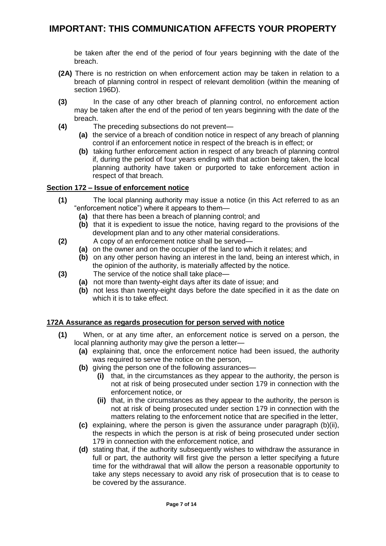be taken after the end of the period of four years beginning with the date of the breach.

- **(2A)** There is no restriction on when enforcement action may be taken in relation to a breach of planning control in respect of relevant demolition (within the meaning of section 196D).
- **(3)** In the case of any other breach of planning control, no enforcement action may be taken after the end of the period of ten years beginning with the date of the breach.
- **(4)** The preceding subsections do not prevent—
	- **(a)** the service of a breach of condition notice in respect of any breach of planning control if an enforcement notice in respect of the breach is in effect; or
	- **(b)** taking further enforcement action in respect of any breach of planning control if, during the period of four years ending with that action being taken, the local planning authority have taken or purported to take enforcement action in respect of that breach.

#### **Section 172 – Issue of enforcement notice**

- **(1)** The local planning authority may issue a notice (in this Act referred to as an "enforcement notice") where it appears to them—
	- **(a)** that there has been a breach of planning control; and
	- **(b)** that it is expedient to issue the notice, having regard to the provisions of the development plan and to any other material considerations.
- **(2)** A copy of an enforcement notice shall be served—
	- **(a)** on the owner and on the occupier of the land to which it relates; and
	- **(b)** on any other person having an interest in the land, being an interest which, in the opinion of the authority, is materially affected by the notice.
- **(3)** The service of the notice shall take place—
	- **(a)** not more than twenty-eight days after its date of issue; and
	- **(b)** not less than twenty-eight days before the date specified in it as the date on which it is to take effect.

#### **172A Assurance as regards prosecution for person served with notice**

- **(1)** When, or at any time after, an enforcement notice is served on a person, the local planning authority may give the person a letter—
	- **(a)** explaining that, once the enforcement notice had been issued, the authority was required to serve the notice on the person,
	- **(b)** giving the person one of the following assurances—
		- **(i)** that, in the circumstances as they appear to the authority, the person is not at risk of being prosecuted under section 179 in connection with the enforcement notice, or
		- **(ii)** that, in the circumstances as they appear to the authority, the person is not at risk of being prosecuted under section 179 in connection with the matters relating to the enforcement notice that are specified in the letter,
	- **(c)** explaining, where the person is given the assurance under paragraph (b)(ii), the respects in which the person is at risk of being prosecuted under section 179 in connection with the enforcement notice, and
	- **(d)** stating that, if the authority subsequently wishes to withdraw the assurance in full or part, the authority will first give the person a letter specifying a future time for the withdrawal that will allow the person a reasonable opportunity to take any steps necessary to avoid any risk of prosecution that is to cease to be covered by the assurance.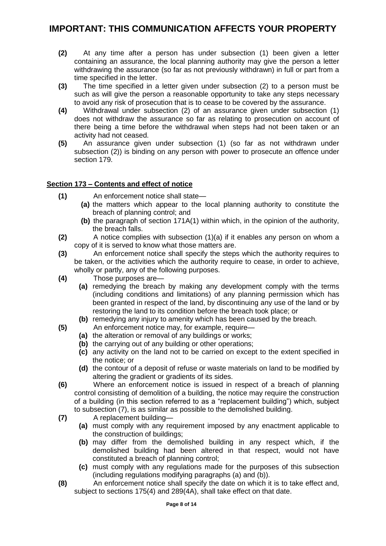- **(2)** At any time after a person has under subsection (1) been given a letter containing an assurance, the local planning authority may give the person a letter withdrawing the assurance (so far as not previously withdrawn) in full or part from a time specified in the letter.
- **(3)** The time specified in a letter given under subsection (2) to a person must be such as will give the person a reasonable opportunity to take any steps necessary to avoid any risk of prosecution that is to cease to be covered by the assurance.
- **(4)** Withdrawal under subsection (2) of an assurance given under subsection (1) does not withdraw the assurance so far as relating to prosecution on account of there being a time before the withdrawal when steps had not been taken or an activity had not ceased.
- **(5)** An assurance given under subsection (1) (so far as not withdrawn under subsection (2)) is binding on any person with power to prosecute an offence under section 179.

#### **Section 173 – Contents and effect of notice**

- **(1)** An enforcement notice shall state—
	- **(a)** the matters which appear to the local planning authority to constitute the breach of planning control; and
	- **(b)** the paragraph of section 171A(1) within which, in the opinion of the authority, the breach falls.
- **(2)** A notice complies with subsection (1)(a) if it enables any person on whom a copy of it is served to know what those matters are.
- **(3)** An enforcement notice shall specify the steps which the authority requires to be taken, or the activities which the authority require to cease, in order to achieve, wholly or partly, any of the following purposes.
- **(4)** Those purposes are—
	- **(a)** remedying the breach by making any development comply with the terms (including conditions and limitations) of any planning permission which has been granted in respect of the land, by discontinuing any use of the land or by restoring the land to its condition before the breach took place; or
	- **(b)** remedying any injury to amenity which has been caused by the breach.
- **(5)** An enforcement notice may, for example, require—
	- **(a)** the alteration or removal of any buildings or works;
	- **(b)** the carrying out of any building or other operations;
	- **(c)** any activity on the land not to be carried on except to the extent specified in the notice; or
	- **(d)** the contour of a deposit of refuse or waste materials on land to be modified by altering the gradient or gradients of its sides.
- **(6)** Where an enforcement notice is issued in respect of a breach of planning control consisting of demolition of a building, the notice may require the construction of a building (in this section referred to as a "replacement building") which, subject to subsection (7), is as similar as possible to the demolished building.
- **(7)** A replacement building—
	- **(a)** must comply with any requirement imposed by any enactment applicable to the construction of buildings;
	- **(b)** may differ from the demolished building in any respect which, if the demolished building had been altered in that respect, would not have constituted a breach of planning control;
	- **(c)** must comply with any regulations made for the purposes of this subsection (including regulations modifying paragraphs (a) and (b)).
- **(8)** An enforcement notice shall specify the date on which it is to take effect and, subject to sections 175(4) and 289(4A), shall take effect on that date.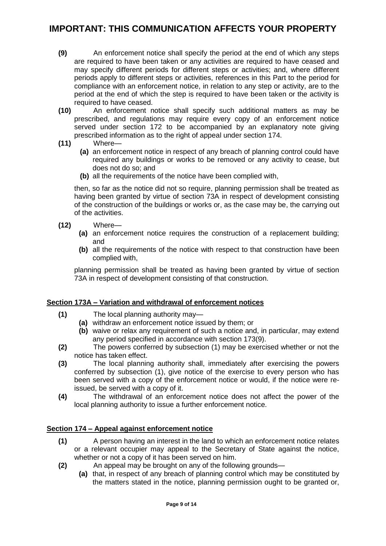- **(9)** An enforcement notice shall specify the period at the end of which any steps are required to have been taken or any activities are required to have ceased and may specify different periods for different steps or activities; and, where different periods apply to different steps or activities, references in this Part to the period for compliance with an enforcement notice, in relation to any step or activity, are to the period at the end of which the step is required to have been taken or the activity is required to have ceased.
- **(10)** An enforcement notice shall specify such additional matters as may be prescribed, and regulations may require every copy of an enforcement notice served under section 172 to be accompanied by an explanatory note giving prescribed information as to the right of appeal under section 174.
- **(11)** Where—
	- **(a)** an enforcement notice in respect of any breach of planning control could have required any buildings or works to be removed or any activity to cease, but does not do so; and
	- **(b)** all the requirements of the notice have been complied with,

then, so far as the notice did not so require, planning permission shall be treated as having been granted by virtue of section 73A in respect of development consisting of the construction of the buildings or works or, as the case may be, the carrying out of the activities.

- **(12)** Where—
	- **(a)** an enforcement notice requires the construction of a replacement building; and
	- **(b)** all the requirements of the notice with respect to that construction have been complied with,

planning permission shall be treated as having been granted by virtue of section 73A in respect of development consisting of that construction.

#### **Section 173A – Variation and withdrawal of enforcement notices**

- **(1)** The local planning authority may—
	- **(a)** withdraw an enforcement notice issued by them; or
	- **(b)** waive or relax any requirement of such a notice and, in particular, may extend any period specified in accordance with section 173(9).
- **(2)** The powers conferred by subsection (1) may be exercised whether or not the notice has taken effect.
- **(3)** The local planning authority shall, immediately after exercising the powers conferred by subsection (1), give notice of the exercise to every person who has been served with a copy of the enforcement notice or would, if the notice were reissued, be served with a copy of it.
- **(4)** The withdrawal of an enforcement notice does not affect the power of the local planning authority to issue a further enforcement notice.

#### **Section 174 – Appeal against enforcement notice**

- **(1)** A person having an interest in the land to which an enforcement notice relates or a relevant occupier may appeal to the Secretary of State against the notice, whether or not a copy of it has been served on him.
- **(2)** An appeal may be brought on any of the following grounds—
	- **(a)** that, in respect of any breach of planning control which may be constituted by the matters stated in the notice, planning permission ought to be granted or,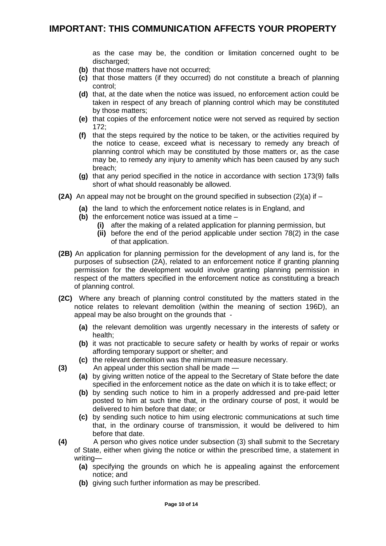as the case may be, the condition or limitation concerned ought to be discharged:

- **(b)** that those matters have not occurred;
- **(c)** that those matters (if they occurred) do not constitute a breach of planning control;
- **(d)** that, at the date when the notice was issued, no enforcement action could be taken in respect of any breach of planning control which may be constituted by those matters;
- **(e)** that copies of the enforcement notice were not served as required by section 172;
- **(f)** that the steps required by the notice to be taken, or the activities required by the notice to cease, exceed what is necessary to remedy any breach of planning control which may be constituted by those matters or, as the case may be, to remedy any injury to amenity which has been caused by any such breach;
- **(g)** that any period specified in the notice in accordance with section 173(9) falls short of what should reasonably be allowed.
- **(2A)** An appeal may not be brought on the ground specified in subsection  $(2)(a)$  if  $-$ 
	- **(a)** the land to which the enforcement notice relates is in England, and
	- **(b)** the enforcement notice was issued at a time
		- **(i)** after the making of a related application for planning permission, but
		- **(ii)** before the end of the period applicable under section 78(2) in the case of that application.
- **(2B)** An application for planning permission for the development of any land is, for the purposes of subsection (2A), related to an enforcement notice if granting planning permission for the development would involve granting planning permission in respect of the matters specified in the enforcement notice as constituting a breach of planning control.
- **(2C)** Where any breach of planning control constituted by the matters stated in the notice relates to relevant demolition (within the meaning of section 196D), an appeal may be also brought on the grounds that -
	- **(a)** the relevant demolition was urgently necessary in the interests of safety or health;
	- **(b)** it was not practicable to secure safety or health by works of repair or works affording temporary support or shelter; and
	- **(c)** the relevant demolition was the minimum measure necessary.
- **(3)** An appeal under this section shall be made
	- **(a)** by giving written notice of the appeal to the Secretary of State before the date specified in the enforcement notice as the date on which it is to take effect; or
	- **(b)** by sending such notice to him in a properly addressed and pre-paid letter posted to him at such time that, in the ordinary course of post, it would be delivered to him before that date; or
	- **(c)** by sending such notice to him using electronic communications at such time that, in the ordinary course of transmission, it would be delivered to him before that date.
- **(4)** A person who gives notice under subsection (3) shall submit to the Secretary of State, either when giving the notice or within the prescribed time, a statement in writing—
	- **(a)** specifying the grounds on which he is appealing against the enforcement notice; and
	- **(b)** giving such further information as may be prescribed.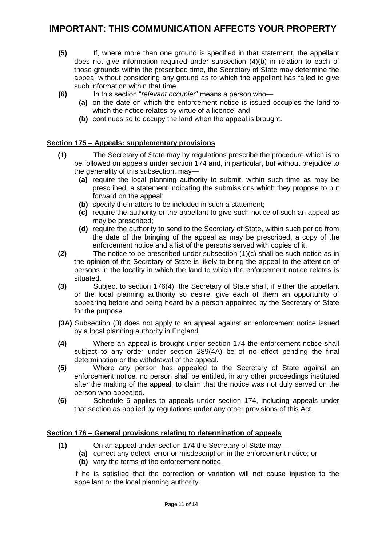- **(5)** If, where more than one ground is specified in that statement, the appellant does not give information required under subsection (4)(b) in relation to each of those grounds within the prescribed time, the Secretary of State may determine the appeal without considering any ground as to which the appellant has failed to give such information within that time.
- **(6)** In this section "*relevant occupier*" means a person who—
	- **(a)** on the date on which the enforcement notice is issued occupies the land to which the notice relates by virtue of a licence; and
	- **(b)** continues so to occupy the land when the appeal is brought.

#### **Section 175 – Appeals: supplementary provisions**

- **(1)** The Secretary of State may by regulations prescribe the procedure which is to be followed on appeals under section 174 and, in particular, but without prejudice to the generality of this subsection, may—
	- **(a)** require the local planning authority to submit, within such time as may be prescribed, a statement indicating the submissions which they propose to put forward on the appeal;
	- **(b)** specify the matters to be included in such a statement;
	- **(c)** require the authority or the appellant to give such notice of such an appeal as may be prescribed;
	- **(d)** require the authority to send to the Secretary of State, within such period from the date of the bringing of the appeal as may be prescribed, a copy of the enforcement notice and a list of the persons served with copies of it.
- **(2)** The notice to be prescribed under subsection (1)(c) shall be such notice as in the opinion of the Secretary of State is likely to bring the appeal to the attention of persons in the locality in which the land to which the enforcement notice relates is situated.
- **(3)** Subject to section 176(4), the Secretary of State shall, if either the appellant or the local planning authority so desire, give each of them an opportunity of appearing before and being heard by a person appointed by the Secretary of State for the purpose.
- **(3A)** Subsection (3) does not apply to an appeal against an enforcement notice issued by a local planning authority in England.
- **(4)** Where an appeal is brought under section 174 the enforcement notice shall subject to any order under section 289(4A) be of no effect pending the final determination or the withdrawal of the appeal.
- **(5)** Where any person has appealed to the Secretary of State against an enforcement notice, no person shall be entitled, in any other proceedings instituted after the making of the appeal, to claim that the notice was not duly served on the person who appealed.
- **(6)** Schedule 6 applies to appeals under section 174, including appeals under that section as applied by regulations under any other provisions of this Act.

#### **Section 176 – General provisions relating to determination of appeals**

- **(1)** On an appeal under section 174 the Secretary of State may—
	- **(a)** correct any defect, error or misdescription in the enforcement notice; or
	- **(b)** vary the terms of the enforcement notice,

if he is satisfied that the correction or variation will not cause injustice to the appellant or the local planning authority.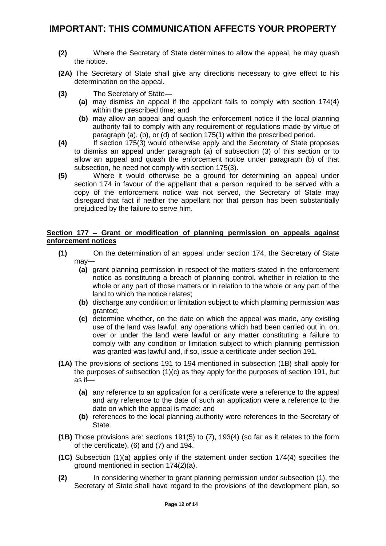- **(2)** Where the Secretary of State determines to allow the appeal, he may quash the notice.
- **(2A)** The Secretary of State shall give any directions necessary to give effect to his determination on the appeal.
- **(3)** The Secretary of State—
	- **(a)** may dismiss an appeal if the appellant fails to comply with section 174(4) within the prescribed time; and
	- **(b)** may allow an appeal and quash the enforcement notice if the local planning authority fail to comply with any requirement of regulations made by virtue of paragraph (a), (b), or (d) of section 175(1) within the prescribed period.
- **(4)** If section 175(3) would otherwise apply and the Secretary of State proposes to dismiss an appeal under paragraph (a) of subsection (3) of this section or to allow an appeal and quash the enforcement notice under paragraph (b) of that subsection, he need not comply with section 175(3).
- **(5)** Where it would otherwise be a ground for determining an appeal under section 174 in favour of the appellant that a person required to be served with a copy of the enforcement notice was not served, the Secretary of State may disregard that fact if neither the appellant nor that person has been substantially prejudiced by the failure to serve him.

#### **Section 177 – Grant or modification of planning permission on appeals against enforcement notices**

- **(1)** On the determination of an appeal under section 174, the Secretary of State may—
	- **(a)** grant planning permission in respect of the matters stated in the enforcement notice as constituting a breach of planning control, whether in relation to the whole or any part of those matters or in relation to the whole or any part of the land to which the notice relates;
	- **(b)** discharge any condition or limitation subject to which planning permission was granted;
	- **(c)** determine whether, on the date on which the appeal was made, any existing use of the land was lawful, any operations which had been carried out in, on, over or under the land were lawful or any matter constituting a failure to comply with any condition or limitation subject to which planning permission was granted was lawful and, if so, issue a certificate under section 191.
- **(1A)** The provisions of sections 191 to 194 mentioned in subsection (1B) shall apply for the purposes of subsection (1)(c) as they apply for the purposes of section 191, but as if—
	- **(a)** any reference to an application for a certificate were a reference to the appeal and any reference to the date of such an application were a reference to the date on which the appeal is made; and
	- **(b)** references to the local planning authority were references to the Secretary of State.
- **(1B)** Those provisions are: sections 191(5) to (7), 193(4) (so far as it relates to the form of the certificate), (6) and (7) and 194.
- **(1C)** Subsection (1)(a) applies only if the statement under section 174(4) specifies the ground mentioned in section 174(2)(a).
- **(2)** In considering whether to grant planning permission under subsection (1), the Secretary of State shall have regard to the provisions of the development plan, so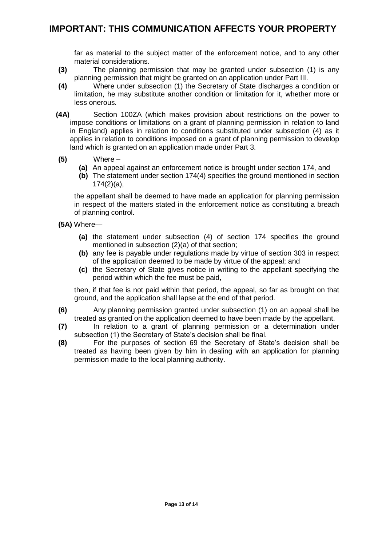far as material to the subject matter of the enforcement notice, and to any other material considerations.

- **(3)** The planning permission that may be granted under subsection (1) is any planning permission that might be granted on an application under Part III.
- **(4)** Where under subsection (1) the Secretary of State discharges a condition or limitation, he may substitute another condition or limitation for it, whether more or less onerous.
- **(4A)** Section 100ZA (which makes provision about restrictions on the power to impose conditions or limitations on a grant of planning permission in relation to land in England) applies in relation to conditions substituted under subsection (4) as it applies in relation to conditions imposed on a grant of planning permission to develop land which is granted on an application made under Part 3.
- **(5)** Where
	- **(a)** An appeal against an enforcement notice is brought under section 174, and
	- **(b)** The statement under section 174(4) specifies the ground mentioned in section 174(2)(a),

the appellant shall be deemed to have made an application for planning permission in respect of the matters stated in the enforcement notice as constituting a breach of planning control.

- **(5A)** Where—
	- **(a)** the statement under subsection (4) of section 174 specifies the ground mentioned in subsection (2)(a) of that section;
	- **(b)** any fee is payable under regulations made by virtue of section 303 in respect of the application deemed to be made by virtue of the appeal; and
	- **(c)** the Secretary of State gives notice in writing to the appellant specifying the period within which the fee must be paid,

then, if that fee is not paid within that period, the appeal, so far as brought on that ground, and the application shall lapse at the end of that period.

- **(6)** Any planning permission granted under subsection (1) on an appeal shall be treated as granted on the application deemed to have been made by the appellant.
- **(7)** In relation to a grant of planning permission or a determination under subsection (1) the Secretary of State's decision shall be final.
- **(8)** For the purposes of section 69 the Secretary of State's decision shall be treated as having been given by him in dealing with an application for planning permission made to the local planning authority.